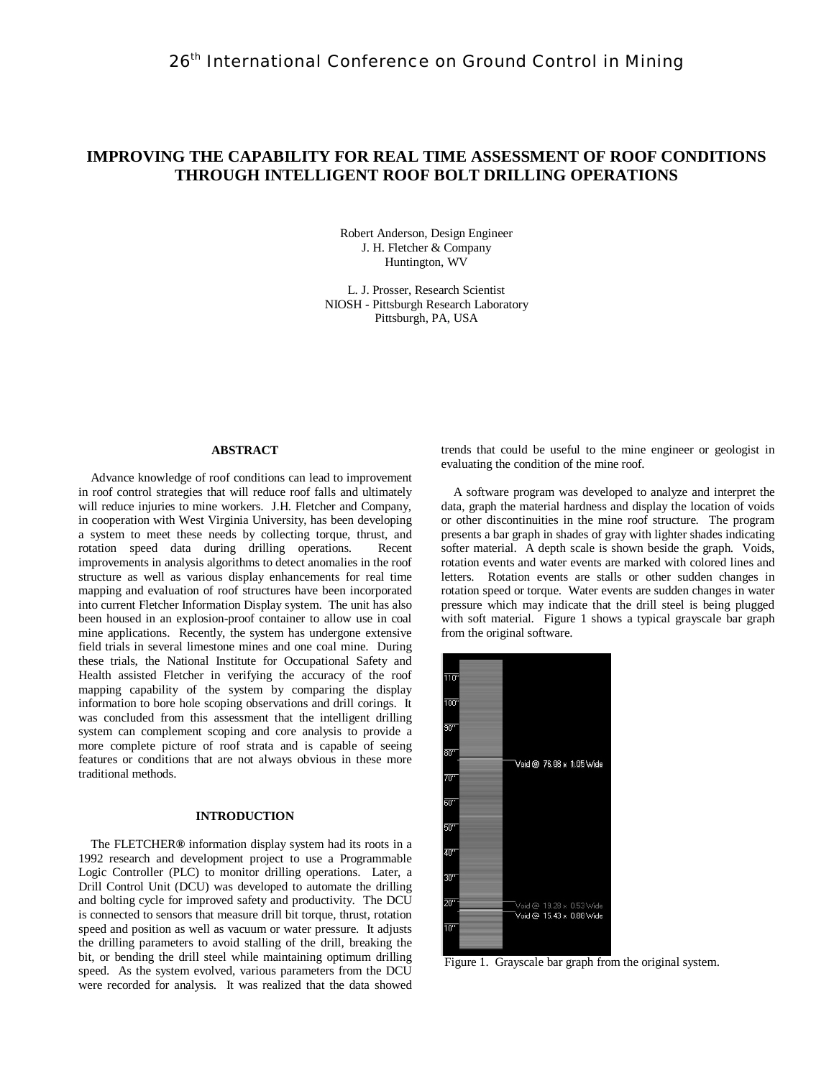# **IMPROVING THE CAPABILITY FOR REAL TIME ASSESSMENT OF ROOF CONDITIONS THROUGH INTELLIGENT ROOF BOLT DRILLING OPERATIONS**

Robert Anderson, Design Engineer J. H. Fletcher & Company Huntington, WV

L. J. Prosser, Research Scientist NIOSH - Pittsburgh Research Laboratory Pittsburgh, PA, USA

# **ABSTRACT**

Advance knowledge of roof conditions can lead to improvement in roof control strategies that will reduce roof falls and ultimately will reduce injuries to mine workers. J.H. Fletcher and Company, in cooperation with West Virginia University, has been developing a system to meet these needs by collecting torque, thrust, and rotation speed data during drilling operations. Recent improvements in analysis algorithms to detect anomalies in the roof structure as well as various display enhancements for real time mapping and evaluation of roof structures have been incorporated into current Fletcher Information Display system. The unit has also been housed in an explosion-proof container to allow use in coal mine applications. Recently, the system has undergone extensive field trials in several limestone mines and one coal mine. During these trials, the National Institute for Occupational Safety and Health assisted Fletcher in verifying the accuracy of the roof mapping capability of the system by comparing the display information to bore hole scoping observations and drill corings. It was concluded from this assessment that the intelligent drilling system can complement scoping and core analysis to provide a more complete picture of roof strata and is capable of seeing features or conditions that are not always obvious in these more traditional methods.

# **INTRODUCTION**

 The FLETCHER**®** information display system had its roots in a 1992 research and development project to use a Programmable Logic Controller (PLC) to monitor drilling operations. Later, a Drill Control Unit (DCU) was developed to automate the drilling and bolting cycle for improved safety and productivity. The DCU is connected to sensors that measure drill bit torque, thrust, rotation speed and position as well as vacuum or water pressure. It adjusts the drilling parameters to avoid stalling of the drill, breaking the bit, or bending the drill steel while maintaining optimum drilling speed. As the system evolved, various parameters from the DCU were recorded for analysis. It was realized that the data showed

trends that could be useful to the mine engineer or geologist in evaluating the condition of the mine roof.

A software program was developed to analyze and interpret the data, graph the material hardness and display the location of voids or other discontinuities in the mine roof structure. The program presents a bar graph in shades of gray with lighter shades indicating softer material. A depth scale is shown beside the graph. Voids, rotation events and water events are marked with colored lines and letters. Rotation events are stalls or other sudden changes in rotation speed or torque. Water events are sudden changes in water pressure which may indicate that the drill steel is being plugged with soft material. Figure 1 shows a typical grayscale bar graph from the original software.



Figure 1. Grayscale bar graph from the original system.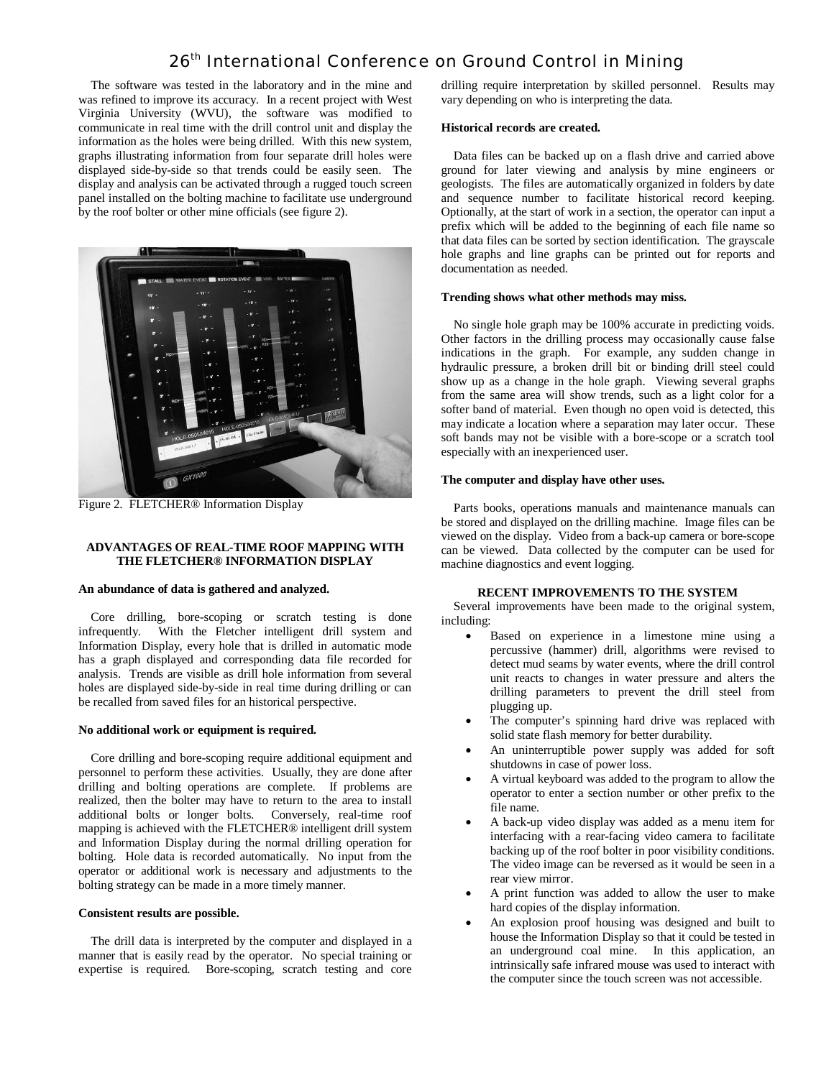The software was tested in the laboratory and in the mine and was refined to improve its accuracy. In a recent project with West Virginia University (WVU), the software was modified to communicate in real time with the drill control unit and display the information as the holes were being drilled. With this new system, graphs illustrating information from four separate drill holes were displayed side-by-side so that trends could be easily seen. The display and analysis can be activated through a rugged touch screen panel installed on the bolting machine to facilitate use underground by the roof bolter or other mine officials (see figure 2).



Figure 2. FLETCHER® Information Display

## **ADVANTAGES OF REAL-TIME ROOF MAPPING WITH THE FLETCHER® INFORMATION DISPLAY**

#### **An abundance of data is gathered and analyzed.**

Core drilling, bore-scoping or scratch testing is done infrequently. With the Fletcher intelligent drill system and Information Display, every hole that is drilled in automatic mode has a graph displayed and corresponding data file recorded for analysis. Trends are visible as drill hole information from several holes are displayed side-by-side in real time during drilling or can be recalled from saved files for an historical perspective.

### **No additional work or equipment is required.**

Core drilling and bore-scoping require additional equipment and personnel to perform these activities. Usually, they are done after drilling and bolting operations are complete. If problems are realized, then the bolter may have to return to the area to install additional bolts or longer bolts. Conversely, real-time roof mapping is achieved with the FLETCHER® intelligent drill system and Information Display during the normal drilling operation for bolting. Hole data is recorded automatically. No input from the operator or additional work is necessary and adjustments to the bolting strategy can be made in a more timely manner.

### **Consistent results are possible.**

The drill data is interpreted by the computer and displayed in a manner that is easily read by the operator. No special training or expertise is required. Bore-scoping, scratch testing and core

drilling require interpretation by skilled personnel. Results may vary depending on who is interpreting the data.

### **Historical records are created.**

Data files can be backed up on a flash drive and carried above ground for later viewing and analysis by mine engineers or geologists. The files are automatically organized in folders by date and sequence number to facilitate historical record keeping. Optionally, at the start of work in a section, the operator can input a prefix which will be added to the beginning of each file name so that data files can be sorted by section identification. The grayscale hole graphs and line graphs can be printed out for reports and documentation as needed.

### **Trending shows what other methods may miss.**

No single hole graph may be 100% accurate in predicting voids. Other factors in the drilling process may occasionally cause false indications in the graph. For example, any sudden change in hydraulic pressure, a broken drill bit or binding drill steel could show up as a change in the hole graph. Viewing several graphs from the same area will show trends, such as a light color for a softer band of material. Even though no open void is detected, this may indicate a location where a separation may later occur. These soft bands may not be visible with a bore-scope or a scratch tool especially with an inexperienced user.

### **The computer and display have other uses.**

Parts books, operations manuals and maintenance manuals can be stored and displayed on the drilling machine. Image files can be viewed on the display. Video from a back-up camera or bore-scope can be viewed. Data collected by the computer can be used for machine diagnostics and event logging.

### **RECENT IMPROVEMENTS TO THE SYSTEM**

Several improvements have been made to the original system, including:

- Based on experience in a limestone mine using a percussive (hammer) drill, algorithms were revised to detect mud seams by water events, where the drill control unit reacts to changes in water pressure and alters the drilling parameters to prevent the drill steel from plugging up.
- The computer's spinning hard drive was replaced with solid state flash memory for better durability.
- An uninterruptible power supply was added for soft shutdowns in case of power loss.
- A virtual keyboard was added to the program to allow the operator to enter a section number or other prefix to the file name.
- A back-up video display was added as a menu item for interfacing with a rear-facing video camera to facilitate backing up of the roof bolter in poor visibility conditions. The video image can be reversed as it would be seen in a rear view mirror.
- A print function was added to allow the user to make hard copies of the display information.
- An explosion proof housing was designed and built to house the Information Display so that it could be tested in an underground coal mine. In this application, an intrinsically safe infrared mouse was used to interact with the computer since the touch screen was not accessible.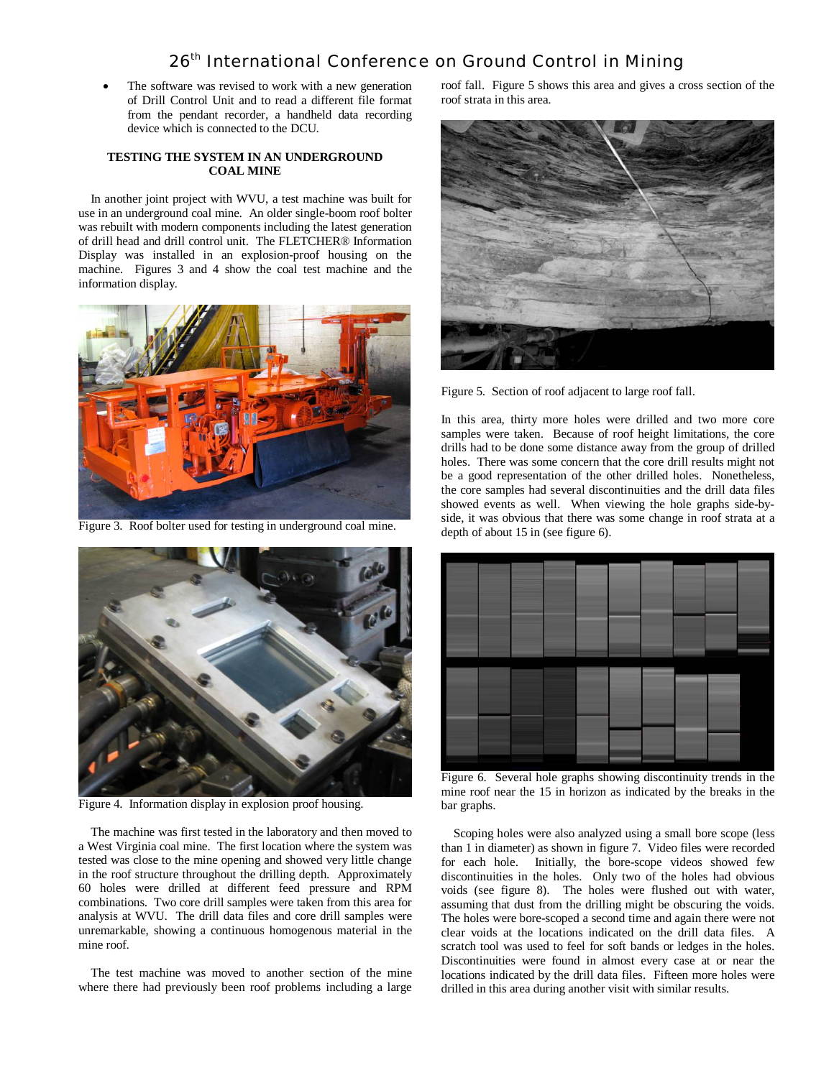The software was revised to work with a new generation of Drill Control Unit and to read a different file format from the pendant recorder, a handheld data recording device which is connected to the DCU.

# **TESTING THE SYSTEM IN AN UNDERGROUND COAL MINE**

In another joint project with WVU, a test machine was built for use in an underground coal mine. An older single-boom roof bolter was rebuilt with modern components including the latest generation of drill head and drill control unit. The FLETCHER® Information Display was installed in an explosion-proof housing on the machine. Figures 3 and 4 show the coal test machine and the information display.



Figure 3. Roof bolter used for testing in underground coal mine.



Figure 4. Information display in explosion proof housing.

The machine was first tested in the laboratory and then moved to a West Virginia coal mine. The first location where the system was tested was close to the mine opening and showed very little change in the roof structure throughout the drilling depth. Approximately 60 holes were drilled at different feed pressure and RPM combinations. Two core drill samples were taken from this area for analysis at WVU. The drill data files and core drill samples were unremarkable, showing a continuous homogenous material in the mine roof.

The test machine was moved to another section of the mine where there had previously been roof problems including a large roof fall. Figure 5 shows this area and gives a cross section of the roof strata in this area.



Figure 5. Section of roof adjacent to large roof fall.

In this area, thirty more holes were drilled and two more core samples were taken. Because of roof height limitations, the core drills had to be done some distance away from the group of drilled holes. There was some concern that the core drill results might not be a good representation of the other drilled holes. Nonetheless, the core samples had several discontinuities and the drill data files showed events as well. When viewing the hole graphs side-byside, it was obvious that there was some change in roof strata at a depth of about 15 in (see figure 6).



Figure 6. Several hole graphs showing discontinuity trends in the mine roof near the 15 in horizon as indicated by the breaks in the bar graphs.

Scoping holes were also analyzed using a small bore scope (less than 1 in diameter) as shown in figure 7. Video files were recorded for each hole. Initially, the bore-scope videos showed few discontinuities in the holes. Only two of the holes had obvious voids (see figure 8). The holes were flushed out with water, assuming that dust from the drilling might be obscuring the voids. The holes were bore-scoped a second time and again there were not clear voids at the locations indicated on the drill data files. A scratch tool was used to feel for soft bands or ledges in the holes. Discontinuities were found in almost every case at or near the locations indicated by the drill data files. Fifteen more holes were drilled in this area during another visit with similar results.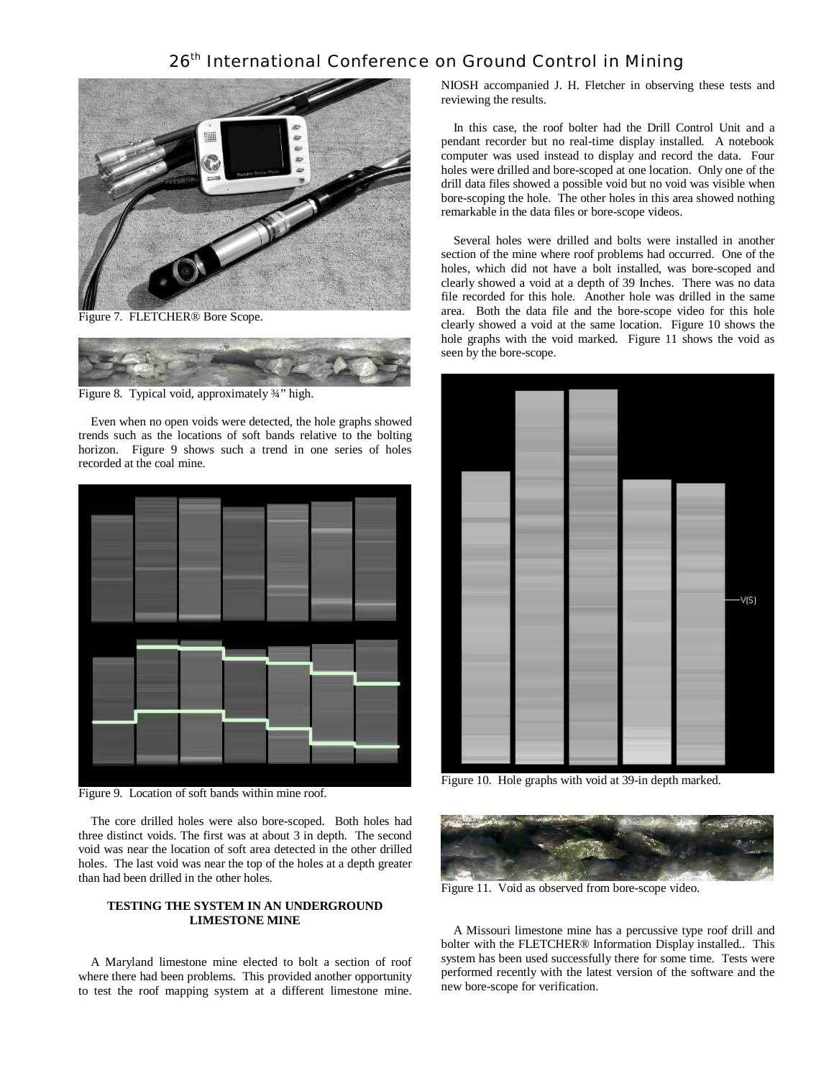

Figure 7. FLETCHER® Bore Scope.



Figure 8. Typical void, approximately ¾" high.

Even when no open voids were detected, the hole graphs showed trends such as the locations of soft bands relative to the bolting horizon. Figure 9 shows such a trend in one series of holes recorded at the coal mine.



Figure 9. Location of soft bands within mine roof.

The core drilled holes were also bore-scoped. Both holes had three distinct voids. The first was at about 3 in depth. The second void was near the location of soft area detected in the other drilled holes. The last void was near the top of the holes at a depth greater than had been drilled in the other holes.

# **TESTING THE SYSTEM IN AN UNDERGROUND LIMESTONE MINE**

A Maryland limestone mine elected to bolt a section of roof where there had been problems. This provided another opportunity to test the roof mapping system at a different limestone mine. NIOSH accompanied J. H. Fletcher in observing these tests and reviewing the results.

In this case, the roof bolter had the Drill Control Unit and a pendant recorder but no real-time display installed. A notebook computer was used instead to display and record the data. Four holes were drilled and bore-scoped at one location. Only one of the drill data files showed a possible void but no void was visible when bore-scoping the hole. The other holes in this area showed nothing remarkable in the data files or bore-scope videos.

Several holes were drilled and bolts were installed in another section of the mine where roof problems had occurred. One of the holes, which did not have a bolt installed, was bore-scoped and clearly showed a void at a depth of 39 Inches. There was no data file recorded for this hole. Another hole was drilled in the same area. Both the data file and the bore-scope video for this hole clearly showed a void at the same location. Figure 10 shows the hole graphs with the void marked. Figure 11 shows the void as seen by the bore-scope.



Figure 10. Hole graphs with void at 39-in depth marked.



Figure 11. Void as observed from bore-scope video.

A Missouri limestone mine has a percussive type roof drill and bolter with the FLETCHER® Information Display installed.. This system has been used successfully there for some time. Tests were performed recently with the latest version of the software and the new bore-scope for verification.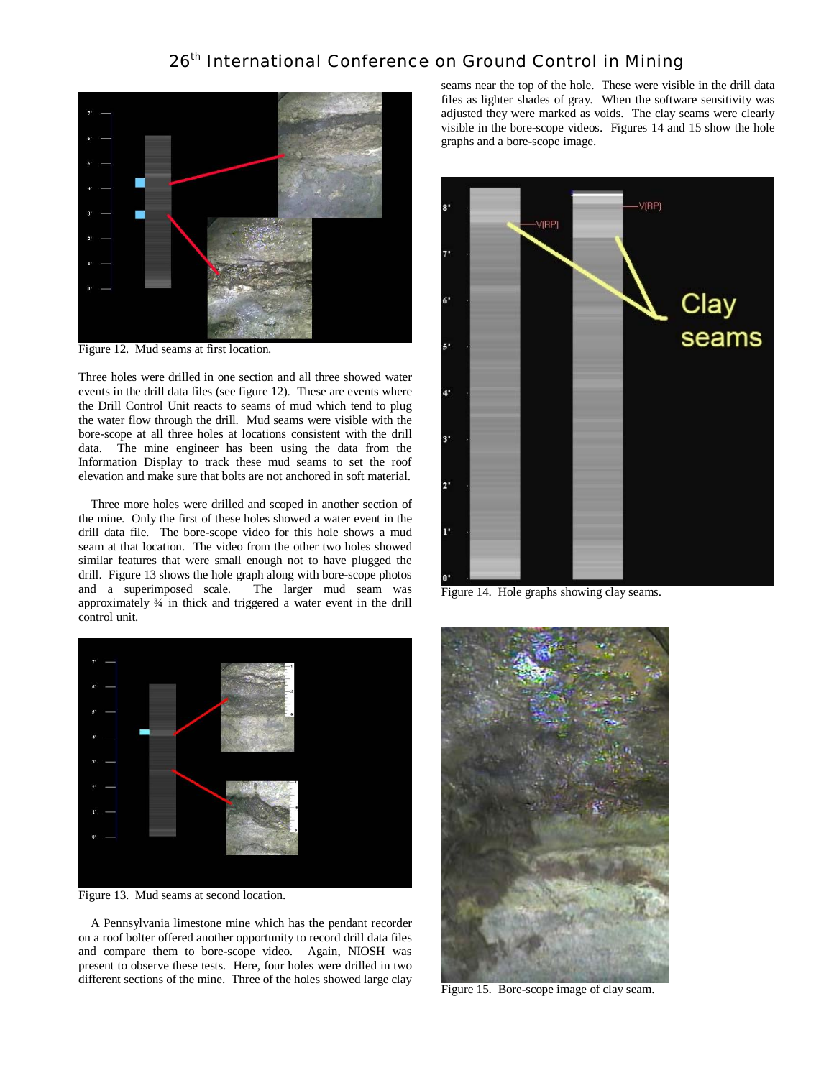

Figure 12. Mud seams at first location.

Three holes were drilled in one section and all three showed water events in the drill data files (see figure 12). These are events where the Drill Control Unit reacts to seams of mud which tend to plug the water flow through the drill. Mud seams were visible with the bore-scope at all three holes at locations consistent with the drill data. The mine engineer has been using the data from the Information Display to track these mud seams to set the roof elevation and make sure that bolts are not anchored in soft material.

Three more holes were drilled and scoped in another section of the mine. Only the first of these holes showed a water event in the drill data file. The bore-scope video for this hole shows a mud seam at that location. The video from the other two holes showed similar features that were small enough not to have plugged the drill. Figure 13 shows the hole graph along with bore-scope photos and a superimposed scale. The larger mud seam was approximately ¾ in thick and triggered a water event in the drill control unit.



Figure 13. Mud seams at second location.

A Pennsylvania limestone mine which has the pendant recorder on a roof bolter offered another opportunity to record drill data files and compare them to bore-scope video. Again, NIOSH was present to observe these tests. Here, four holes were drilled in two different sections of the mine. Three of the holes showed large clay

seams near the top of the hole. These were visible in the drill data files as lighter shades of gray. When the software sensitivity was adjusted they were marked as voids. The clay seams were clearly visible in the bore-scope videos. Figures 14 and 15 show the hole graphs and a bore-scope image.



Figure 14. Hole graphs showing clay seams.



Figure 15. Bore-scope image of clay seam.